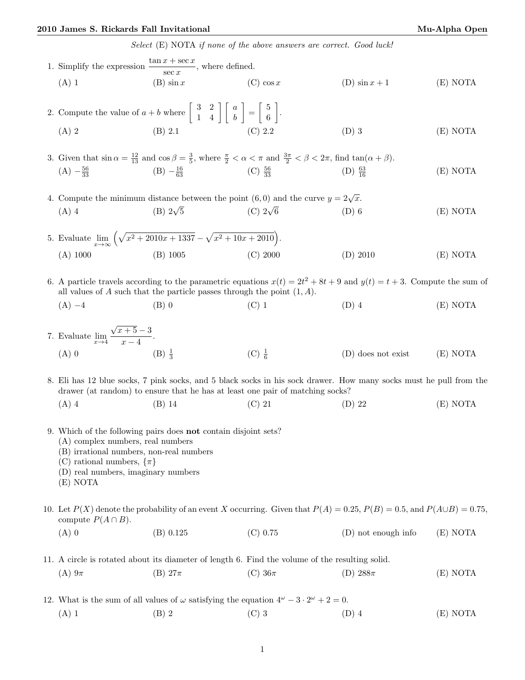## 2010 James S. Rickards Fall Invitational Mu-Alpha Open

Select (E) NOTA if none of the above answers are correct. Good luck!

| 1. Simplify the expression $\frac{\tan x + \sec x}{\sec x}$ , where defined.                                                                                                                                                           |                                                                                                                                                                                       |                     |                       |          |  |  |  |
|----------------------------------------------------------------------------------------------------------------------------------------------------------------------------------------------------------------------------------------|---------------------------------------------------------------------------------------------------------------------------------------------------------------------------------------|---------------------|-----------------------|----------|--|--|--|
| $(A)$ 1                                                                                                                                                                                                                                | $(B) \sin x$                                                                                                                                                                          | $(C)$ cos x         | $(D)$ sin $x + 1$     | (E) NOTA |  |  |  |
|                                                                                                                                                                                                                                        | 2. Compute the value of $a + b$ where $\begin{bmatrix} 3 & 2 \\ 1 & 4 \end{bmatrix} \begin{bmatrix} a \\ b \end{bmatrix} = \begin{bmatrix} 5 \\ 6 \end{bmatrix}$ .                    |                     |                       |          |  |  |  |
| $(A)$ 2                                                                                                                                                                                                                                | (B) 2.1                                                                                                                                                                               | (C) 2.2             | $(D)$ 3               | (E) NOTA |  |  |  |
|                                                                                                                                                                                                                                        | 3. Given that $\sin \alpha = \frac{12}{13}$ and $\cos \beta = \frac{3}{5}$ , where $\frac{\pi}{2} < \alpha < \pi$ and $\frac{3\pi}{2} < \beta < 2\pi$ , find $\tan(\alpha + \beta)$ . |                     |                       |          |  |  |  |
| $(A) -\frac{56}{33}$                                                                                                                                                                                                                   | $(B) -\frac{16}{63}$                                                                                                                                                                  | (C) $\frac{56}{33}$ | (D) $\frac{63}{16}$   | (E) NOTA |  |  |  |
| 4. Compute the minimum distance between the point (6,0) and the curve $y = 2\sqrt{x}$ .                                                                                                                                                |                                                                                                                                                                                       |                     |                       |          |  |  |  |
| $(A)$ 4                                                                                                                                                                                                                                | (B) $2\sqrt{5}$                                                                                                                                                                       | (C) $2\sqrt{6}$     | $(D)$ 6               | (E) NOTA |  |  |  |
|                                                                                                                                                                                                                                        | 5. Evaluate $\lim_{x \to \infty} \left( \sqrt{x^2 + 2010x + 1337} - \sqrt{x^2 + 10x + 2010} \right)$ .                                                                                |                     |                       |          |  |  |  |
| $(A)$ 1000                                                                                                                                                                                                                             | $(B)$ 1005                                                                                                                                                                            | (C) 2000            | $(D)$ 2010            | (E) NOTA |  |  |  |
| 6. A particle travels according to the parametric equations $x(t) = 2t^2 + 8t + 9$ and $y(t) = t + 3$ . Compute the sum of<br>all values of A such that the particle passes through the point $(1, A)$ .                               |                                                                                                                                                                                       |                     |                       |          |  |  |  |
| $(A) -4$                                                                                                                                                                                                                               | $(B)$ 0                                                                                                                                                                               | $(C)$ 1             | $(D)$ 4               | (E) NOTA |  |  |  |
| 7. Evaluate $\lim_{x \to 4} \frac{\sqrt{x+5} - 3}{x - 4}$ .                                                                                                                                                                            |                                                                                                                                                                                       |                     |                       |          |  |  |  |
| $(A)$ 0                                                                                                                                                                                                                                | $(B) \frac{1}{3}$                                                                                                                                                                     | $(C) \frac{1}{6}$   | $(D)$ does not exist  | (E) NOTA |  |  |  |
| 8. Eli has 12 blue socks, 7 pink socks, and 5 black socks in his sock drawer. How many socks must he pull from the<br>drawer (at random) to ensure that he has at least one pair of matching socks?                                    |                                                                                                                                                                                       |                     |                       |          |  |  |  |
| $(A)$ 4                                                                                                                                                                                                                                | $(B)$ 14                                                                                                                                                                              | $(C)$ 21            | $(D)$ 22              | (E) NOTA |  |  |  |
| 9. Which of the following pairs does not contain disjoint sets?<br>(A) complex numbers, real numbers<br>(B) irrational numbers, non-real numbers<br>(C) rational numbers, $\{\pi\}$<br>(D) real numbers, imaginary numbers<br>(E) NOTA |                                                                                                                                                                                       |                     |                       |          |  |  |  |
| 10. Let $P(X)$ denote the probability of an event X occurring. Given that $P(A) = 0.25$ , $P(B) = 0.5$ , and $P(A \cup B) = 0.75$ ,<br>compute $P(A \cap B)$ .                                                                         |                                                                                                                                                                                       |                     |                       |          |  |  |  |
| $(A)$ 0                                                                                                                                                                                                                                | (B) 0.125                                                                                                                                                                             | $(C)$ 0.75          | $(D)$ not enough info | (E) NOTA |  |  |  |
| 11. A circle is rotated about its diameter of length 6. Find the volume of the resulting solid.                                                                                                                                        |                                                                                                                                                                                       |                     |                       |          |  |  |  |
| $(A) 9\pi$                                                                                                                                                                                                                             | $(B) 27\pi$                                                                                                                                                                           | (C) $36\pi$         | (D) $288\pi$          | (E) NOTA |  |  |  |
|                                                                                                                                                                                                                                        | 12. What is the sum of all values of $\omega$ satisfying the equation $4^{\omega} - 3 \cdot 2^{\omega} + 2 = 0$ .                                                                     |                     |                       |          |  |  |  |
| $(A)$ 1                                                                                                                                                                                                                                | $(B)$ 2                                                                                                                                                                               | $(C)$ 3             | $(D)$ 4               | (E) NOTA |  |  |  |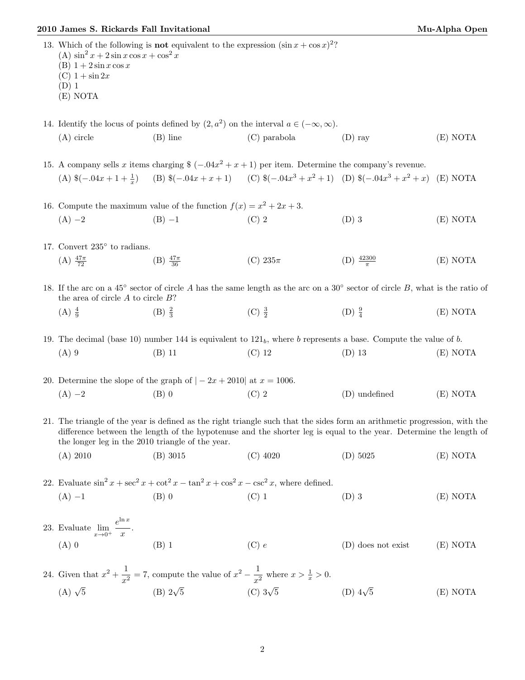## $2010$  James S. Rickards Fall Invitational  $\,$

| Mu-Alpha Open |
|---------------|
|---------------|

| (A) $\sin^2 x + 2 \sin x \cos x + \cos^2 x$<br>$(B)$ 1 + 2 sin x cos x<br>$(C)$ 1 + sin 2x<br>$(D)$ 1<br>(E) NOTA                                                                                                                                                                                   |                                                                                                                     | 13. Which of the following is <b>not</b> equivalent to the expression $(\sin x + \cos x)^2$ ?             |                         |          |  |  |  |
|-----------------------------------------------------------------------------------------------------------------------------------------------------------------------------------------------------------------------------------------------------------------------------------------------------|---------------------------------------------------------------------------------------------------------------------|-----------------------------------------------------------------------------------------------------------|-------------------------|----------|--|--|--|
| 14. Identify the locus of points defined by $(2, a^2)$ on the interval $a \in (-\infty, \infty)$ .                                                                                                                                                                                                  |                                                                                                                     |                                                                                                           |                         |          |  |  |  |
| $(A)$ circle                                                                                                                                                                                                                                                                                        | $(B)$ line                                                                                                          | $(C)$ parabola                                                                                            | $(D)$ ray               | (E) NOTA |  |  |  |
| 15. A company sells x items charging $\frac{1}{2}$ (-.04x <sup>2</sup> + x + 1) per item. Determine the company's revenue.                                                                                                                                                                          |                                                                                                                     |                                                                                                           |                         |          |  |  |  |
|                                                                                                                                                                                                                                                                                                     |                                                                                                                     | (A) $(-.04x + 1 + \frac{1}{x})$ (B) $(-.04x + x + 1)$ (C) $(-.04x^3 + x^2 + 1)$ (D) $(-.04x^3 + x^2 + x)$ |                         | (E) NOTA |  |  |  |
| 16. Compute the maximum value of the function $f(x) = x^2 + 2x + 3$ .                                                                                                                                                                                                                               |                                                                                                                     |                                                                                                           |                         |          |  |  |  |
| $(A) -2$                                                                                                                                                                                                                                                                                            | $(B) -1$                                                                                                            | $(C)$ 2                                                                                                   | $(D)$ 3                 | (E) NOTA |  |  |  |
| 17. Convert $235^{\circ}$ to radians.                                                                                                                                                                                                                                                               |                                                                                                                     |                                                                                                           |                         |          |  |  |  |
| (A) $\frac{47\pi}{72}$                                                                                                                                                                                                                                                                              | (B) $\frac{47\pi}{36}$                                                                                              | (C) $235\pi$                                                                                              | (D) $\frac{42300}{\pi}$ | (E) NOTA |  |  |  |
| 18. If the arc on a 45° sector of circle A has the same length as the arc on a 30° sector of circle B, what is the ratio of<br>the area of circle $A$ to circle $B$ ?                                                                                                                               |                                                                                                                     |                                                                                                           |                         |          |  |  |  |
| $(A) \frac{4}{9}$                                                                                                                                                                                                                                                                                   | $(B) \frac{2}{3}$                                                                                                   | (C) $\frac{3}{2}$                                                                                         | $(D) \frac{9}{4}$       | (E) NOTA |  |  |  |
| 19. The decimal (base 10) number 144 is equivalent to $121b$ , where b represents a base. Compute the value of b.                                                                                                                                                                                   |                                                                                                                     |                                                                                                           |                         |          |  |  |  |
| $(A)$ 9                                                                                                                                                                                                                                                                                             | $(B)$ 11                                                                                                            | $(C)$ 12                                                                                                  | $(D)$ 13                | (E) NOTA |  |  |  |
| 20. Determine the slope of the graph of $ -2x + 2010 $ at $x = 1006$ .                                                                                                                                                                                                                              |                                                                                                                     |                                                                                                           |                         |          |  |  |  |
| $(A) -2$                                                                                                                                                                                                                                                                                            | $(B)$ 0                                                                                                             | $(C)$ 2                                                                                                   | (D) undefined           | (E) NOTA |  |  |  |
| 21. The triangle of the year is defined as the right triangle such that the sides form an arithmetic progression, with the<br>difference between the length of the hypotenuse and the shorter leg is equal to the year. Determine the length of<br>the longer leg in the 2010 triangle of the year. |                                                                                                                     |                                                                                                           |                         |          |  |  |  |
| (A) 2010                                                                                                                                                                                                                                                                                            | $(B)$ 3015                                                                                                          | $(C)$ 4020                                                                                                | $(D)$ 5025              | (E) NOTA |  |  |  |
| 22. Evaluate $\sin^2 x + \sec^2 x + \cot^2 x - \tan^2 x + \cos^2 x - \csc^2 x$ , where defined.                                                                                                                                                                                                     |                                                                                                                     |                                                                                                           |                         |          |  |  |  |
| $(A) -1$                                                                                                                                                                                                                                                                                            | $(B)$ 0                                                                                                             | $(C)$ 1                                                                                                   | $(D)$ 3                 | (E) NOTA |  |  |  |
| 23. Evaluate $\lim_{x \to 0^+} \frac{e^{\ln x}}{x}$ .                                                                                                                                                                                                                                               |                                                                                                                     |                                                                                                           |                         |          |  |  |  |
| $(A)$ 0                                                                                                                                                                                                                                                                                             | $(B)$ 1                                                                                                             | (C) e                                                                                                     | $(D)$ does not exist    | (E) NOTA |  |  |  |
|                                                                                                                                                                                                                                                                                                     | 24. Given that $x^2 + \frac{1}{x^2} = 7$ , compute the value of $x^2 - \frac{1}{x^2}$ where $x > \frac{1}{x} > 0$ . |                                                                                                           |                         |          |  |  |  |
| (A) $\sqrt{5}$                                                                                                                                                                                                                                                                                      | (B) $2\sqrt{5}$                                                                                                     | (C) $3\sqrt{5}$                                                                                           | (D) $4\sqrt{5}$         | (E) NOTA |  |  |  |